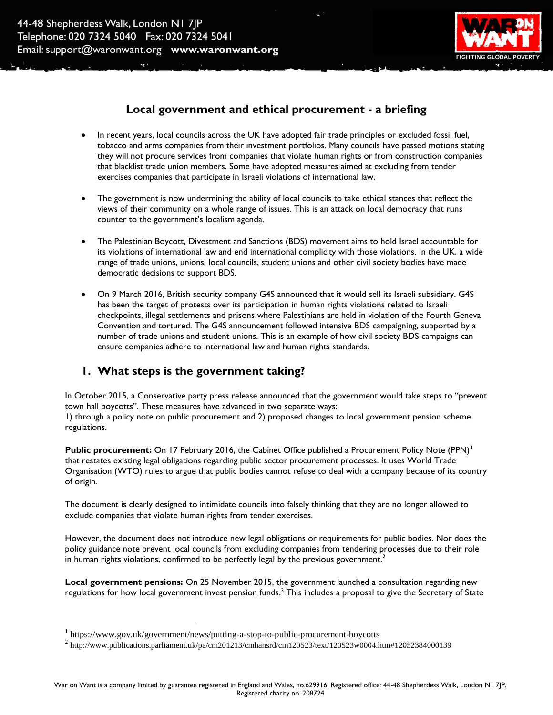

### **Local government and ethical procurement - a briefing**

- In recent years, local councils across the UK have adopted fair trade principles or excluded fossil fuel, tobacco and arms companies from their investment portfolios. Many councils have passed motions stating they will not procure services from companies that violate human rights or from construction companies that blacklist trade union members. Some have adopted measures aimed at excluding from tender exercises companies that participate in Israeli violations of international law.
- The government is now undermining the ability of local councils to take ethical stances that reflect the views of their community on a whole range of issues. This is an attack on local democracy that runs counter to the government's localism agenda.
- The Palestinian Boycott, Divestment and Sanctions (BDS) movement aims to hold Israel accountable for its violations of international law and end international complicity with those violations. In the UK, a wide range of trade unions, unions, local councils, student unions and other civil society bodies have made democratic decisions to support BDS.
- On 9 March 2016, British security company G4S announced that it would sell its Israeli subsidiary. G4S has been the target of protests over its participation in human rights violations related to Israeli checkpoints, illegal settlements and prisons where Palestinians are held in violation of the Fourth Geneva Convention and tortured. The G4S announcement followed intensive BDS campaigning, supported by a number of trade unions and student unions. This is an example of how civil society BDS campaigns can ensure companies adhere to international law and human rights standards.

# **1. What steps is the government taking?**

In October 2015, a Conservative party press release announced that the government would take steps to "prevent town hall boycotts". These measures have advanced in two separate ways: 1) through a policy note on public procurement and 2) proposed changes to local government pension scheme regulations.

**Public procurement:** On 17 February 2016, the Cabinet Office published a Procurement Policy Note (PPN)<sup>1</sup> that restates existing legal obligations regarding public sector procurement processes. It uses World Trade Organisation (WTO) rules to argue that public bodies cannot refuse to deal with a company because of its country of origin.

The document is clearly designed to intimidate councils into falsely thinking that they are no longer allowed to exclude companies that violate human rights from tender exercises.

However, the document does not introduce new legal obligations or requirements for public bodies. Nor does the policy guidance note prevent local councils from excluding companies from tendering processes due to their role in human rights violations, confirmed to be perfectly legal by the previous government.<sup>2</sup>

**Local government pensions:** On 25 November 2015, the government launched a consultation regarding new regulations for how local government invest pension funds.<sup>3</sup> This includes a proposal to give the Secretary of State

 $\overline{a}$ 

<sup>&</sup>lt;sup>1</sup> https://www.gov.uk/government/news/putting-a-stop-to-public-procurement-boycotts

<sup>2</sup> http://www.publications.parliament.uk/pa/cm201213/cmhansrd/cm120523/text/120523w0004.htm#12052384000139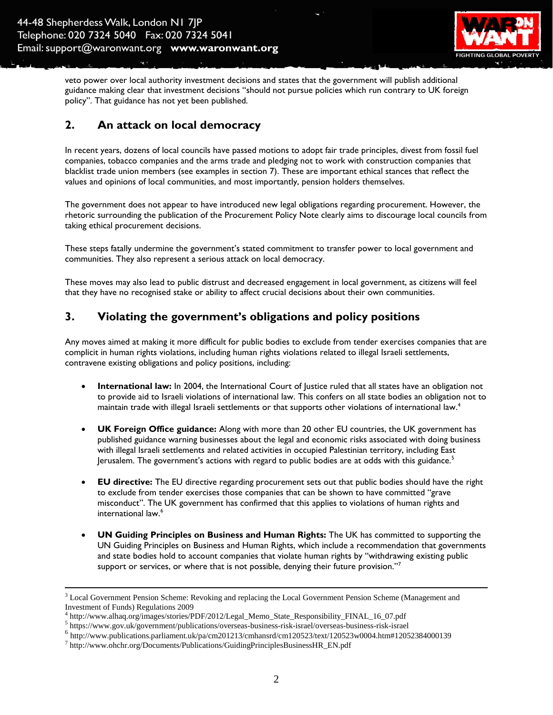

veto power over local authority investment decisions and states that the government will publish additional guidance making clear that investment decisions "should not pursue policies which run contrary to UK foreign policy". That guidance has not yet been published.

#### **2. An attack on local democracy**

In recent years, dozens of local councils have passed motions to adopt fair trade principles, divest from fossil fuel companies, tobacco companies and the arms trade and pledging not to work with construction companies that blacklist trade union members (see examples in section 7). These are important ethical stances that reflect the values and opinions of local communities, and most importantly, pension holders themselves.

The government does not appear to have introduced new legal obligations regarding procurement. However, the rhetoric surrounding the publication of the Procurement Policy Note clearly aims to discourage local councils from taking ethical procurement decisions.

These steps fatally undermine the government's stated commitment to transfer power to local government and communities. They also represent a serious attack on local democracy.

These moves may also lead to public distrust and decreased engagement in local government, as citizens will feel that they have no recognised stake or ability to affect crucial decisions about their own communities.

#### **3. Violating the government's obligations and policy positions**

Any moves aimed at making it more difficult for public bodies to exclude from tender exercises companies that are complicit in human rights violations, including human rights violations related to illegal Israeli settlements, contravene existing obligations and policy positions, including:

- **International law:** In 2004, the International Court of Justice ruled that all states have an obligation not to provide aid to Israeli violations of international law. This confers on all state bodies an obligation not to maintain trade with illegal Israeli settlements or that supports other violations of international law.<sup>4</sup>
- **UK Foreign Office guidance:** Along with more than 20 other EU countries, the UK government has published guidance warning businesses about the legal and economic risks associated with doing business with illegal Israeli settlements and related activities in occupied Palestinian territory, including East Jerusalem. The government's actions with regard to public bodies are at odds with this guidance.<sup>5</sup>
- **EU directive:** The EU directive regarding procurement sets out that public bodies should have the right to exclude from tender exercises those companies that can be shown to have committed "grave misconduct". The UK government has confirmed that this applies to violations of human rights and international law.<sup>6</sup>
- **UN Guiding Principles on Business and Human Rights:** The UK has committed to supporting the UN Guiding Principles on Business and Human Rights, which include a recommendation that governments and state bodies hold to account companies that violate human rights by "withdrawing existing public support or services, or where that is not possible, denying their future provision."<sup>7</sup>

 $\overline{a}$ 

<sup>&</sup>lt;sup>3</sup> Local Government Pension Scheme: Revoking and replacing the Local Government Pension Scheme (Management and Investment of Funds) Regulations 2009

<sup>4</sup> http://www.alhaq.org/images/stories/PDF/2012/Legal\_Memo\_State\_Responsibility\_FINAL\_16\_07.pdf

<sup>5</sup> https://www.gov.uk/government/publications/overseas-business-risk-israel/overseas-business-risk-israel

 $6$  http://www.publications.parliament.uk/pa/cm201213/cmhansrd/cm120523/text/120523w0004.htm#12052384000139

<sup>&</sup>lt;sup>7</sup> http://www.ohchr.org/Documents/Publications/GuidingPrinciplesBusinessHR\_EN.pdf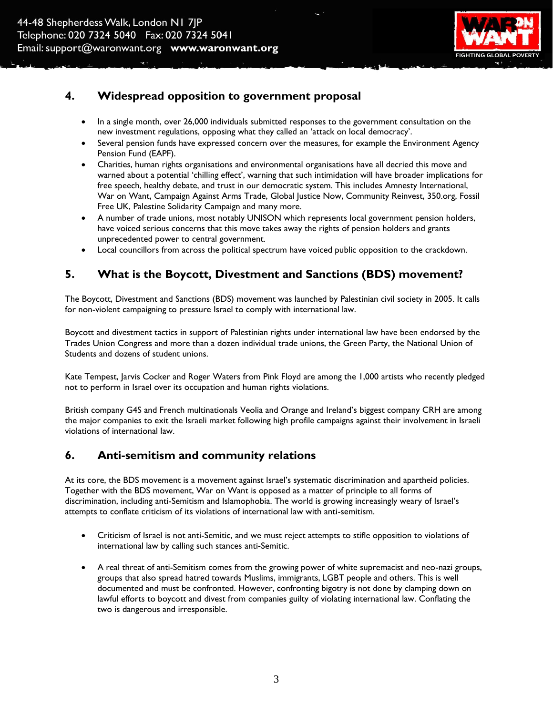

#### **4. Widespread opposition to government proposal**

- In a single month, over 26,000 individuals submitted responses to the government consultation on the new investment regulations, opposing what they called an 'attack on local democracy'.
- Several pension funds have expressed concern over the measures, for example the Environment Agency Pension Fund (EAPF).
- Charities, human rights organisations and environmental organisations have all decried this move and warned about a potential 'chilling effect', warning that such intimidation will have broader implications for free speech, healthy debate, and trust in our democratic system. This includes Amnesty International, War on Want, Campaign Against Arms Trade, Global Justice Now, Community Reinvest, 350.org, Fossil Free UK, Palestine Solidarity Campaign and many more.
- A number of trade unions, most notably UNISON which represents local government pension holders, have voiced serious concerns that this move takes away the rights of pension holders and grants unprecedented power to central government.
- Local councillors from across the political spectrum have voiced public opposition to the crackdown.

## **5. What is the Boycott, Divestment and Sanctions (BDS) movement?**

The Boycott, Divestment and Sanctions (BDS) movement was launched by Palestinian civil society in 2005. It calls for non-violent campaigning to pressure Israel to comply with international law.

Boycott and divestment tactics in support of Palestinian rights under international law have been endorsed by the Trades Union Congress and more than a dozen individual trade unions, the Green Party, the National Union of Students and dozens of student unions.

Kate Tempest, Jarvis Cocker and Roger Waters from Pink Floyd are among the 1,000 artists who recently pledged not to perform in Israel over its occupation and human rights violations.

British company G4S and French multinationals Veolia and Orange and Ireland's biggest company CRH are among the major companies to exit the Israeli market following high profile campaigns against their involvement in Israeli violations of international law.

#### **6. Anti-semitism and community relations**

At its core, the BDS movement is a movement against Israel's systematic discrimination and apartheid policies. Together with the BDS movement, War on Want is opposed as a matter of principle to all forms of discrimination, including anti-Semitism and Islamophobia. The world is growing increasingly weary of Israel's attempts to conflate criticism of its violations of international law with anti-semitism.

- Criticism of Israel is not anti-Semitic, and we must reject attempts to stifle opposition to violations of international law by calling such stances anti-Semitic.
- A real threat of anti-Semitism comes from the growing power of white supremacist and neo-nazi groups, groups that also spread hatred towards Muslims, immigrants, LGBT people and others. This is well documented and must be confronted. However, confronting bigotry is not done by clamping down on lawful efforts to boycott and divest from companies guilty of violating international law. Conflating the two is dangerous and irresponsible.